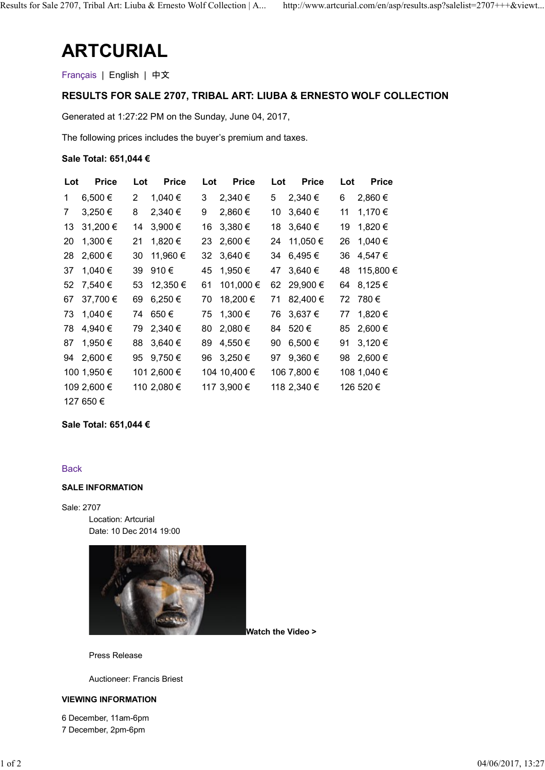# ARTCURIAL

# RESULTS FOR SALE 2707, TRIBAL ART: LIUBA & ERNESTO WOLF COLLECTION

## Sale Total: 651,044 €

|                          | <b>ARTCURIAL</b>         |                                                              |                           |                                                                               |
|--------------------------|--------------------------|--------------------------------------------------------------|---------------------------|-------------------------------------------------------------------------------|
| Français   English   中文  |                          |                                                              |                           |                                                                               |
|                          |                          |                                                              |                           | <b>RESULTS FOR SALE 2707, TRIBAL ART: LIUBA &amp; ERNESTO WOLF COLLECTION</b> |
|                          |                          | Generated at 1:27:22 PM on the Sunday, June 04, 2017,        |                           |                                                                               |
|                          |                          | The following prices includes the buyer's premium and taxes. |                           |                                                                               |
| Sale Total: 651,044 €    |                          |                                                              |                           |                                                                               |
|                          |                          |                                                              |                           |                                                                               |
| <b>Price</b><br>Lot      | <b>Price</b><br>Lot      | <b>Price</b><br>Lot                                          | <b>Price</b><br>Lot       | <b>Price</b><br>Lot                                                           |
| 6,500€<br>1              | 1,040 €<br>2             | 2,340 €<br>3                                                 | 5 2,340 €                 | 2,860€<br>6                                                                   |
| 7 3,250 €<br>13 31,200 € | 2,340 €<br>8             | 2,860 €<br>9                                                 | 10 3,640 €                | 11 1,170 €                                                                    |
| 20 1,300 €               | 14 3,900 €<br>21 1,820 € | 16 3,380 €<br>23 2,600 €                                     | 18 3,640 €<br>24 11,050 € | 19 1,820 €<br>26 1,040 €                                                      |
| 28 2,600 €               | 30 11,960 €              | 32 3,640 €                                                   | 34 6,495 €                | 36 4,547 €                                                                    |
| 37 1,040 €               | 39 910€                  | 45 1,950 €                                                   | 47 3,640 €                | 48 115,800 €                                                                  |
| 52 7,540 €               | 53 12,350 €              | 61 101,000 €                                                 | 62 29,900 €               | 64 8,125 €                                                                    |
| 67 37,700 €              | 69 6,250 €               | 70 18,200 €                                                  | 71 82,400 €               | 72 780€                                                                       |
| 73 1,040 €               | 74 650€                  | 75 1,300 €                                                   | 76 3,637 €                | 77 1,820 €                                                                    |
| 78 4,940 €               | 79 2,340 €               | 80 2,080 €                                                   | 84 520€                   | 85 2,600 €                                                                    |
| 87 1,950 €               | 88 3,640 €               | 89 4,550 €                                                   | 90 6,500 €                | 91 3,120 €                                                                    |
| 94 2,600 €               | 95 9,750 €               | 96 3,250 €                                                   | 97 9,360 €                | 98 2,600 €                                                                    |
| 100 1,950 €              | 101 2,600 €              | 104 10,400 €                                                 | 106 7,800 €               | 108 1,040 €                                                                   |
| 109 2,600 €              | 110 2,080 €              | 117 3,900 €                                                  | 118 2,340 €               | 126 520 €                                                                     |
| 127 650 €                |                          |                                                              |                           |                                                                               |

# Sale Total: 651,044 €

#### **Back**

#### SALE INFORMATION

Sale: 2707 Location: Artcurial Date: 10 Dec 2014 19:00



Watch the Video >

Press Release

Auctioneer: Francis Briest

#### VIEWING INFORMATION

6 December, 11am-6pm 7 December, 2pm-6pm